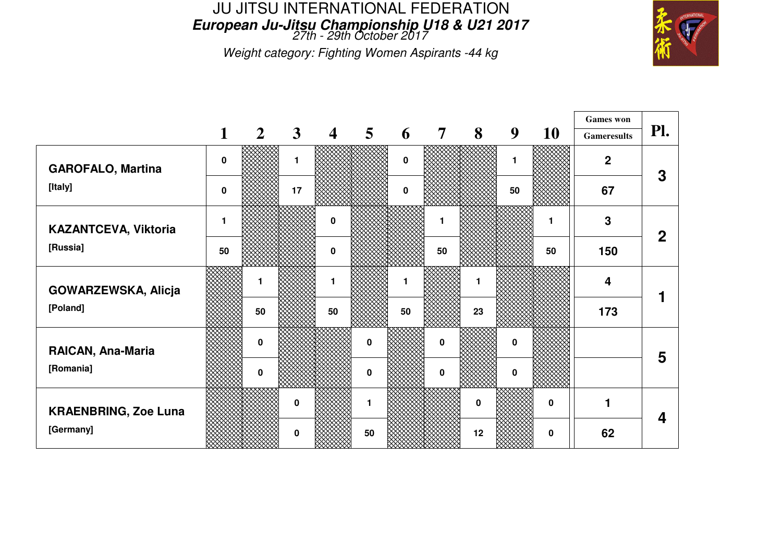## JU JITSU INTERNATIONAL FEDERATION**European Ju-Jitsu Championship U18 & U21 2017** 27th - 29th October 2017

Weight category: Fighting Women Aspirants -44 kg



|                             |             |                |              |                |                |          |                |          |             |             | <b>Games</b> won   |             |
|-----------------------------|-------------|----------------|--------------|----------------|----------------|----------|----------------|----------|-------------|-------------|--------------------|-------------|
|                             | $\mathbf 1$ | $\overline{2}$ | $\mathbf{3}$ | $\overline{4}$ | 5 <sup>5</sup> | 6        | $\overline{7}$ | 8        | 9           | <b>10</b>   | <b>Gameresults</b> | Pl.         |
| <b>GAROFALO, Martina</b>    | $\bf{0}$    |                | 1            |                |                | $\Omega$ |                |          | 1.          |             | $\mathbf 2$        | 3           |
| [Italy]                     | $\bf{0}$    |                | 17           |                |                | $\bf{0}$ |                |          | 50          |             | 67                 |             |
| KAZANTCEVA, Viktoria        |             |                |              | $\mathbf 0$    |                |          | 1              |          |             | 1           | 3                  | $\mathbf 2$ |
| [Russia]                    | 50          |                |              | $\bf{0}$       |                |          | 50             |          |             | 50          | 150                |             |
| GOWARZEWSKA, Alicja         |             |                |              |                |                |          |                |          |             |             | 4                  |             |
| [Poland]                    |             | 50             |              | 50             |                | 50       |                | 23       |             |             | 173                |             |
| RAICAN, Ana-Maria           |             | 0              |              |                | $\mathbf 0$    |          | $\bf{0}$       |          | $\mathbf 0$ |             |                    | 5           |
| [Romania]                   |             | 0              |              |                | 0              |          | 0              |          | 0           |             |                    |             |
| <b>KRAENBRING, Zoe Luna</b> |             |                | 0            |                | $\mathbf 1$    |          |                | $\bf{0}$ |             | 0           |                    |             |
| [Germany]                   |             |                | $\mathbf{0}$ |                | 50             |          |                | 12       |             | $\mathbf 0$ | 62                 | 4           |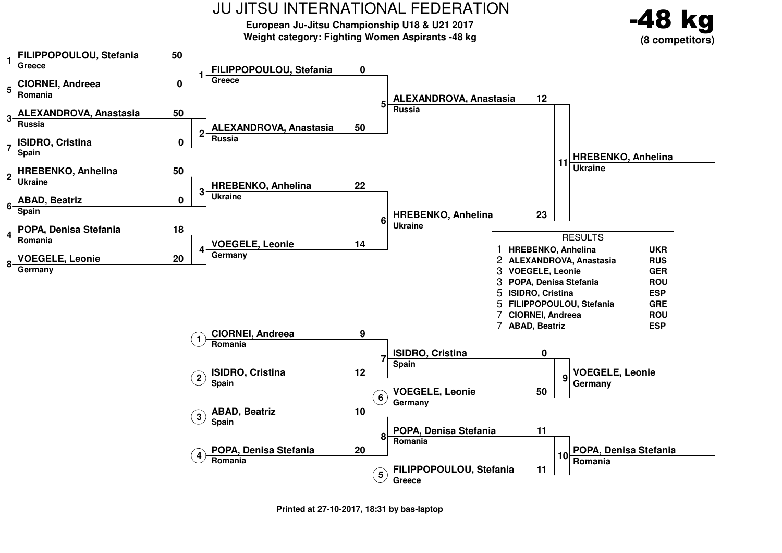**European Ju-Jitsu Championship U18 & U21 2017Weight category: Fighting Women Aspirants -48 kg**



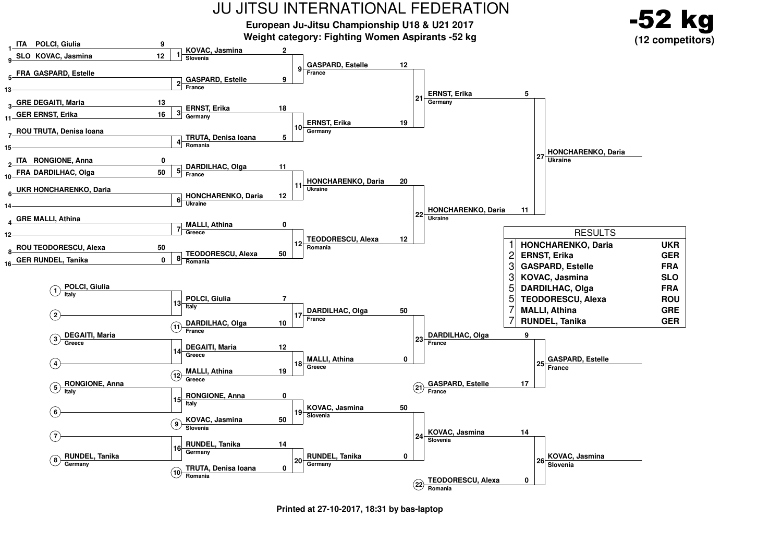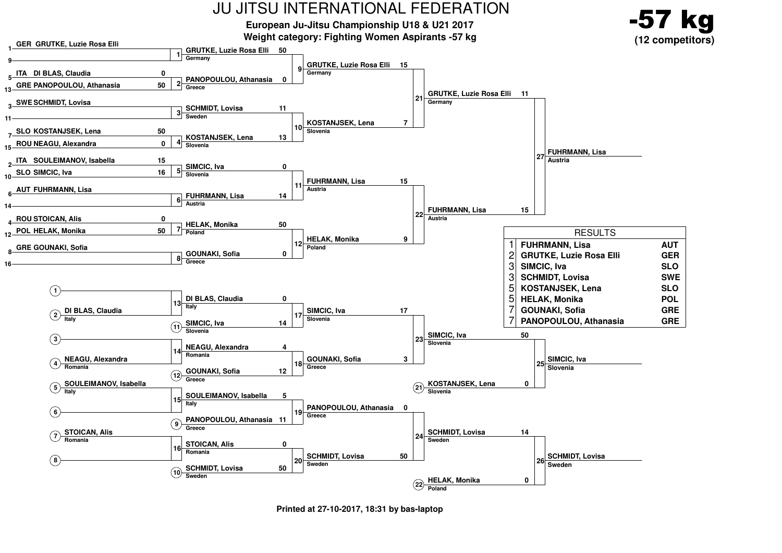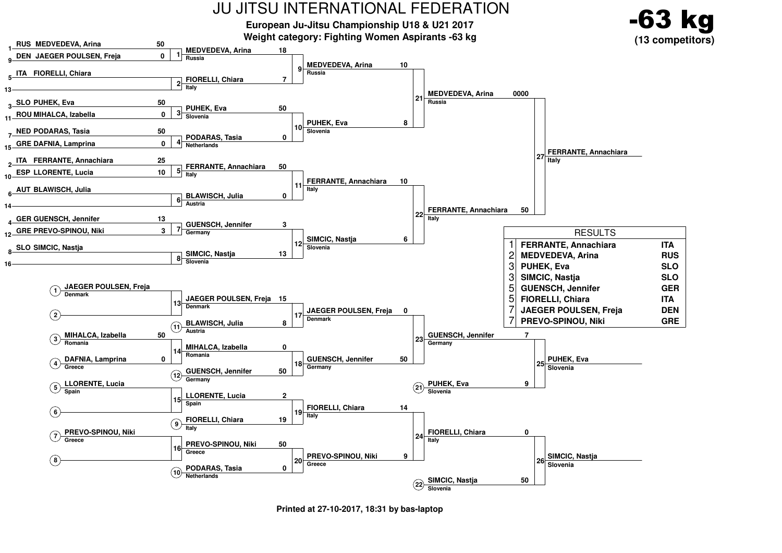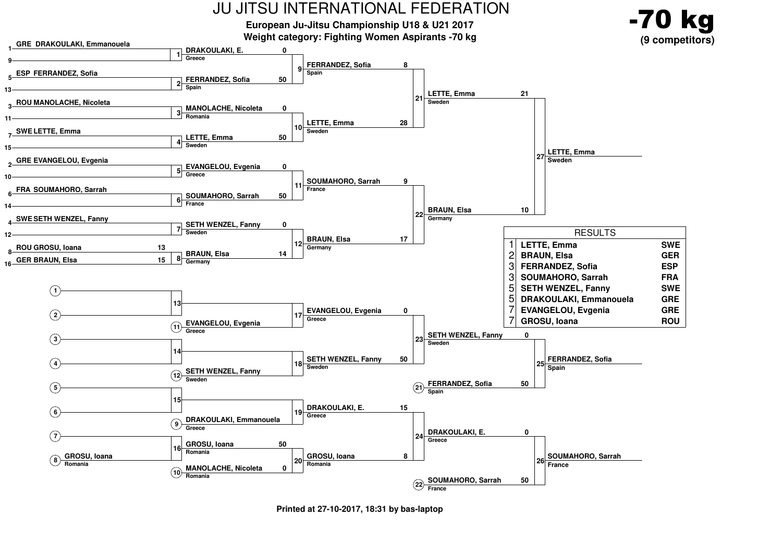

**Printed at 27-10-2017, 18:31 by bas-laptop**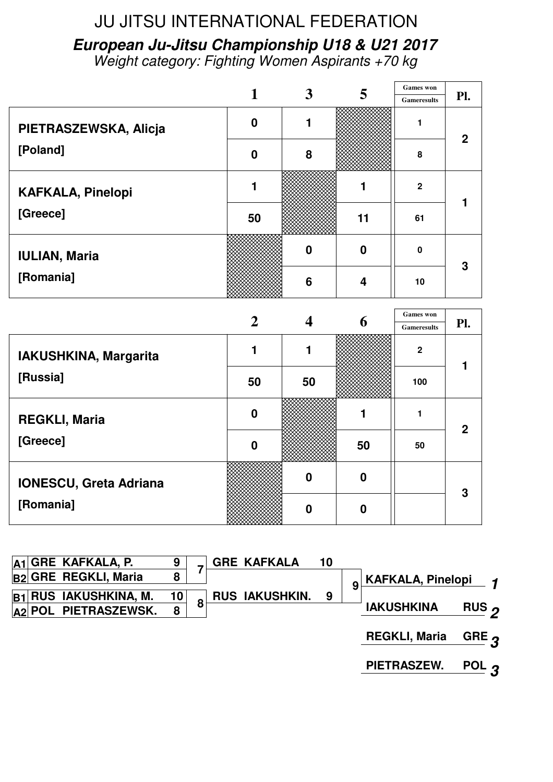**European Ju-Jitsu Championship U18 & U21 2017** Weight category: Fighting Women Aspirants +70 kg

|                          |                  |          |                  | <b>Games</b> won   |              |
|--------------------------|------------------|----------|------------------|--------------------|--------------|
|                          |                  | $\bm{3}$ | 5                | <b>Gameresults</b> | Pl.          |
| PIETRASZEWSKA, Alicja    | $\boldsymbol{0}$ |          |                  |                    | $\mathbf{2}$ |
| [Poland]                 | $\boldsymbol{0}$ | 8        |                  | 8                  |              |
| <b>KAFKALA, Pinelopi</b> |                  |          |                  | $\overline{2}$     |              |
| [Greece]                 | 50               |          | 11               | 61                 |              |
| <b>IULIAN, Maria</b>     |                  | በ        | $\boldsymbol{0}$ | $\mathbf{0}$       | 3            |
| [Romania]                |                  | 6        | 4                | 10                 |              |
|                          |                  |          | <u>—</u>         | <b>Games</b> won   |              |

|                               |                  |    |    | <b>Games</b> won   |     |
|-------------------------------|------------------|----|----|--------------------|-----|
|                               |                  |    | O  | <b>Gameresults</b> | Pl. |
| IAKUSHKINA, Margarita         |                  |    |    | $\boldsymbol{2}$   |     |
| [Russia]                      | 50               | 50 |    | 100                |     |
| <b>REGKLI, Maria</b>          | $\boldsymbol{0}$ |    |    |                    | 2   |
| [Greece]                      | $\boldsymbol{0}$ |    | 50 | 50                 |     |
| <b>IONESCU, Greta Adriana</b> |                  |    | 0  |                    | 3   |
| [Romania]                     |                  |    | o  |                    |     |

|                | $ A1 $ GRE KAFKALA, P.      |    |   | <b>GRE KAFKALA</b>    | 10 |   |                                |              |
|----------------|-----------------------------|----|---|-----------------------|----|---|--------------------------------|--------------|
|                | <b>B2 GRE REGKLI, Maria</b> | 8  |   |                       |    | 9 | KAFKALA, Pinelopi <sub>1</sub> |              |
| B <sub>1</sub> | <b>RUS IAKUSHKINA, M.</b>   | 10 | 8 | <b>RUS IAKUSHKIN.</b> | 9  |   |                                |              |
|                | $ A2 $ POL PIETRASZEWSK.    | 8  |   |                       |    |   | <b>IAKUSHKINA</b>              | RUS $\sigma$ |
|                |                             |    |   |                       |    |   | <b>REGKLI, Maria</b>           | GRE $\bm{q}$ |
|                |                             |    |   |                       |    |   | <b>PIETRASZEW.</b>             | POL $\bm{q}$ |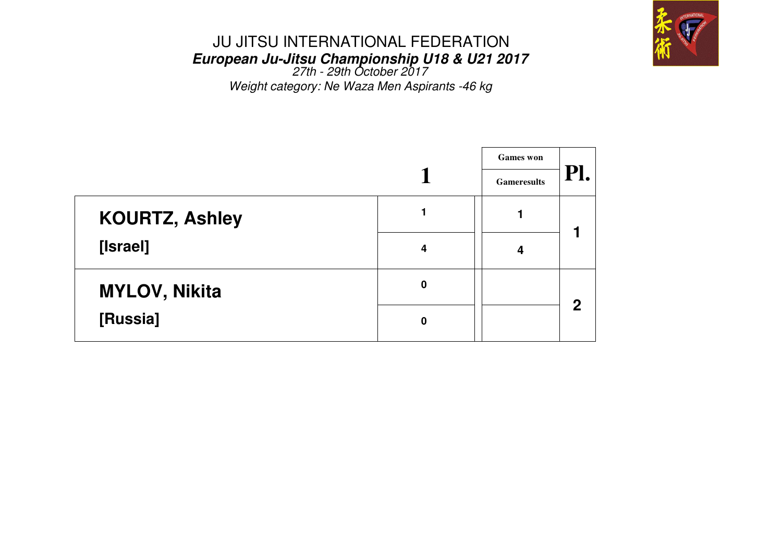

# JU JITSU INTERNATIONAL FEDERATION**European Ju-Jitsu Championship U18 & U21 2017** 27th - 29th October 2017

Weight category: Ne Waza Men Aspirants -46 kg

|                       |   | <b>Games</b> won   |             |
|-----------------------|---|--------------------|-------------|
|                       |   | <b>Gameresults</b> | PI.         |
| <b>KOURTZ, Ashley</b> |   |                    |             |
| [Israel]              | 4 | 4                  |             |
| <b>MYLOV, Nikita</b>  | 0 |                    | $\mathbf 2$ |
| [Russia]              | 0 |                    |             |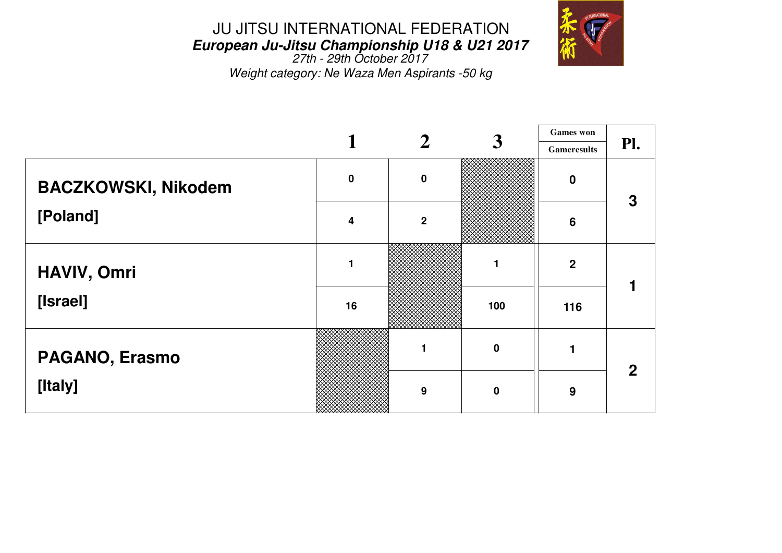

 **European Ju-Jitsu Championship U18 & U21 2017** 27th - 29th October 2017Weight category: Ne Waza Men Aspirants -50 kg

|                            |           | $\bf{2}$       | $\boldsymbol{3}$ | <b>Games</b> won   |     |
|----------------------------|-----------|----------------|------------------|--------------------|-----|
|                            |           |                |                  | <b>Gameresults</b> | Pl. |
| <b>BACZKOWSKI, Nikodem</b> | $\pmb{0}$ | $\mathbf 0$    |                  | $\mathbf 0$        | 3   |
| [Poland]                   | 4         | $\overline{2}$ |                  | $6\phantom{1}6$    |     |
| HAVIV, Omri                | 1         |                |                  | $\boldsymbol{2}$   |     |
| [Israel]                   | 16        |                | 100              | 116                |     |
| PAGANO, Erasmo             |           |                | $\mathbf 0$      |                    | 2   |
| [Italy]                    |           | 9              | $\bf{0}$         | 9                  |     |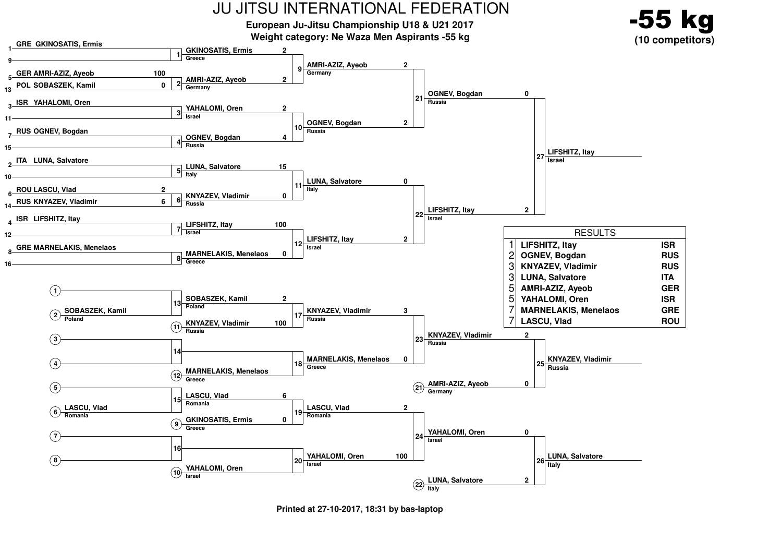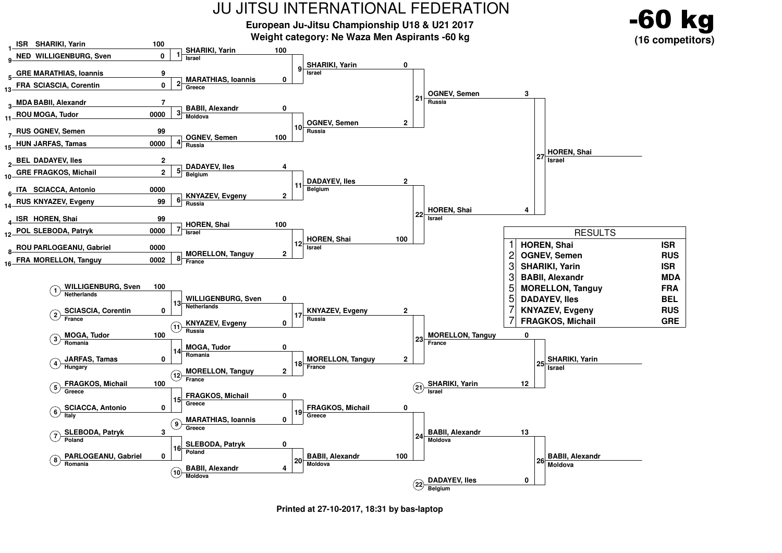![](_page_10_Figure_0.jpeg)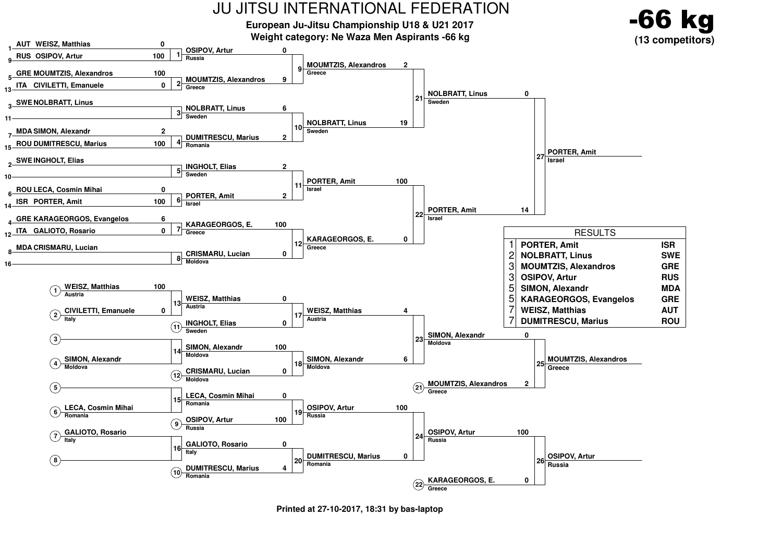![](_page_11_Figure_0.jpeg)

**Printed at 27-10-2017, 18:31 by bas-laptop**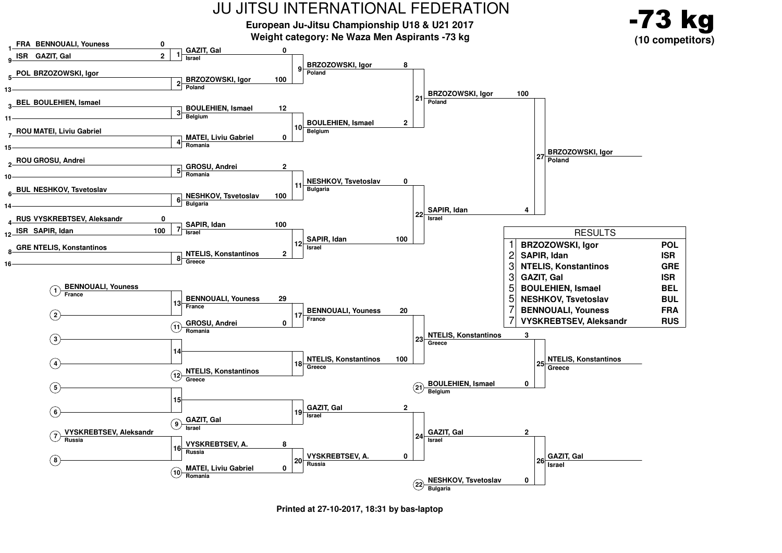![](_page_12_Figure_0.jpeg)

**Printed at 27-10-2017, 18:31 by bas-laptop**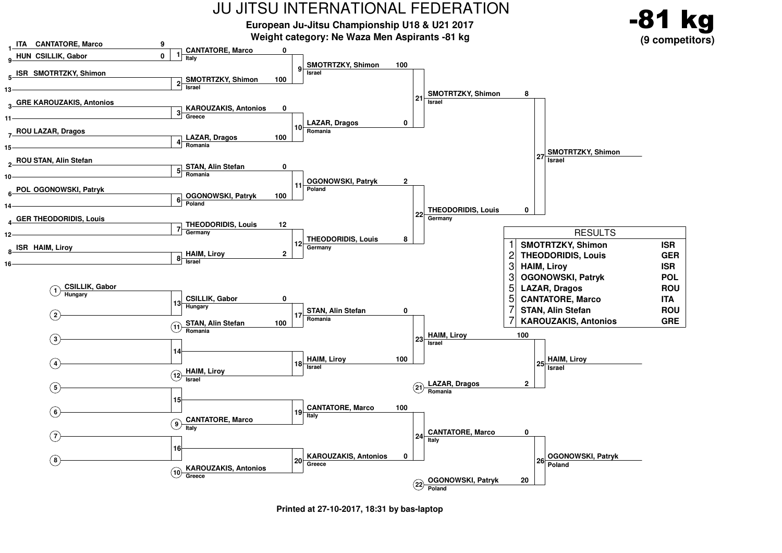![](_page_13_Figure_0.jpeg)

**Printed at 27-10-2017, 18:31 by bas-laptop**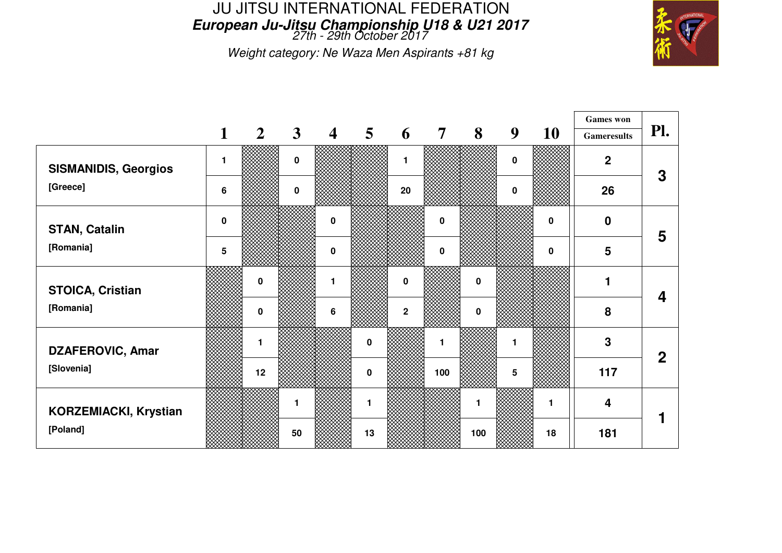## JU JITSU INTERNATIONAL FEDERATION**European Ju-Jitsu Championship U18 & U21 2017** 27th - 29th October 2017

Weight category: Ne Waza Men Aspirants +81 kg

![](_page_14_Picture_2.jpeg)

|                              |                |                |              |                         |                |              |                |             |             |           | <b>Games</b> won   |                  |
|------------------------------|----------------|----------------|--------------|-------------------------|----------------|--------------|----------------|-------------|-------------|-----------|--------------------|------------------|
|                              | $\mathbf{1}$   | $\overline{2}$ | $\mathbf{3}$ | $\overline{\mathbf{4}}$ | 5 <sup>5</sup> | 6            | $\overline{7}$ | 8           | 9           | <b>10</b> | <b>Gameresults</b> | Pl.              |
| <b>SISMANIDIS, Georgios</b>  | 1              |                | $\mathbf 0$  |                         |                | 1            |                |             | $\mathbf 0$ |           | $\overline{2}$     | 3                |
| [Greece]                     | $6\phantom{1}$ |                | $\mathbf 0$  |                         |                | 20           |                |             | 0           |           | 26                 |                  |
| <b>STAN, Catalin</b>         | $\mathbf 0$    |                |              | $\mathbf 0$             |                |              | $\pmb{0}$      |             |             | 0         | $\boldsymbol{0}$   | 5                |
| [Romania]                    | 5              |                |              | $\mathbf 0$             |                |              | $\mathbf 0$    |             |             | $\bf{0}$  | 5                  |                  |
| <b>STOICA, Cristian</b>      |                | $\mathbf{0}$   |              | 1                       |                | $\bf{0}$     |                | $\mathbf 0$ |             |           | 1                  | $\boldsymbol{4}$ |
| [Romania]                    |                | $\mathbf 0$    |              | 6                       |                | $\mathbf{2}$ |                | $\mathbf 0$ |             |           | 8                  |                  |
| <b>DZAFEROVIC, Amar</b>      |                | 1              |              |                         | $\mathbf 0$    |              | 1              |             |             |           | 3                  | $\overline{2}$   |
| [Slovenia]                   |                | 12             |              |                         | $\pmb{0}$      |              | 100            |             | 5           |           | 117                |                  |
| <b>KORZEMIACKI, Krystian</b> |                |                | 1            |                         | 1              |              |                |             |             | 1         | 4                  |                  |
| [Poland]                     |                |                | 50           |                         | 13             |              |                | 100         |             | 18        | 181                |                  |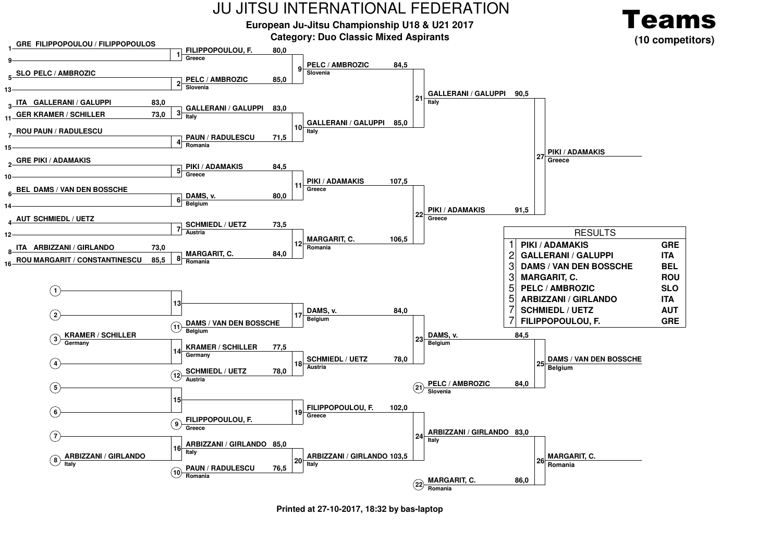![](_page_15_Figure_0.jpeg)

**Printed at 27-10-2017, 18:32 by bas-laptop**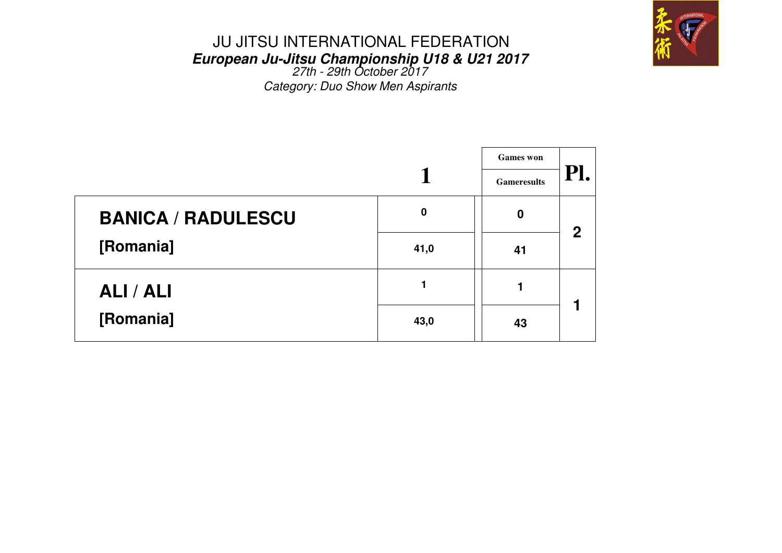![](_page_16_Picture_0.jpeg)

# JU JITSU INTERNATIONAL FEDERATION**European Ju-Jitsu Championship U18 & U21 2017** 27th - 29th October 2017

Category: Duo Show Men Aspirants

|                           |          | <b>Games</b> won   |             |
|---------------------------|----------|--------------------|-------------|
|                           |          | <b>Gameresults</b> | PI.         |
| <b>BANICA / RADULESCU</b> | $\bf{0}$ | $\mathbf 0$        | $\mathbf 2$ |
| [Romania]                 | 41,0     | 41                 |             |
| ALI / ALI                 |          |                    |             |
| [Romania]                 | 43,0     | 43                 |             |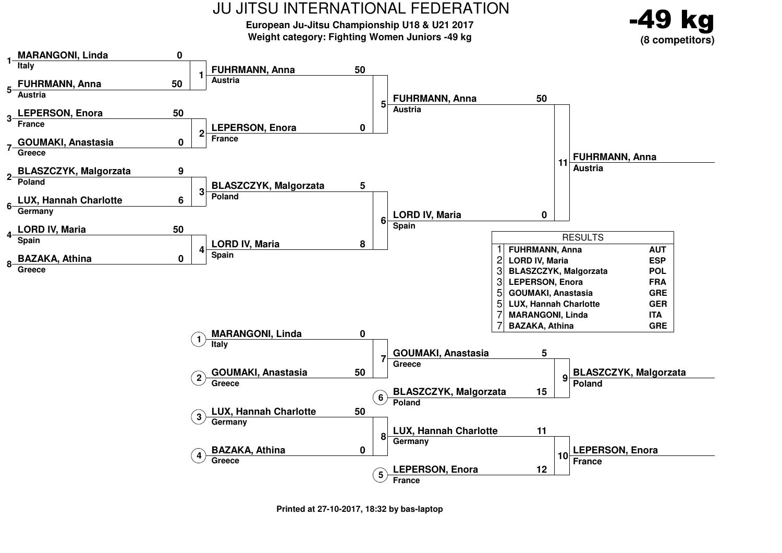**European Ju-Jitsu Championship U18 & U21 2017Weight category: Fighting Women Juniors -49 kg**

![](_page_17_Picture_2.jpeg)

![](_page_17_Figure_3.jpeg)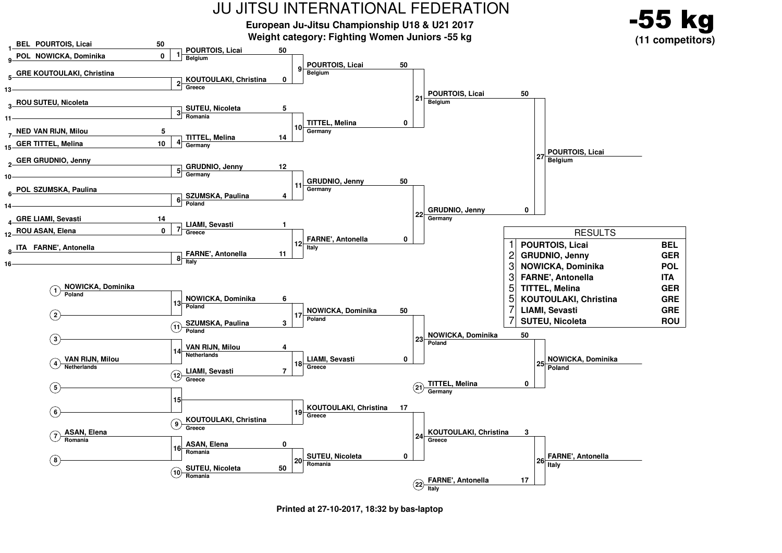![](_page_18_Figure_0.jpeg)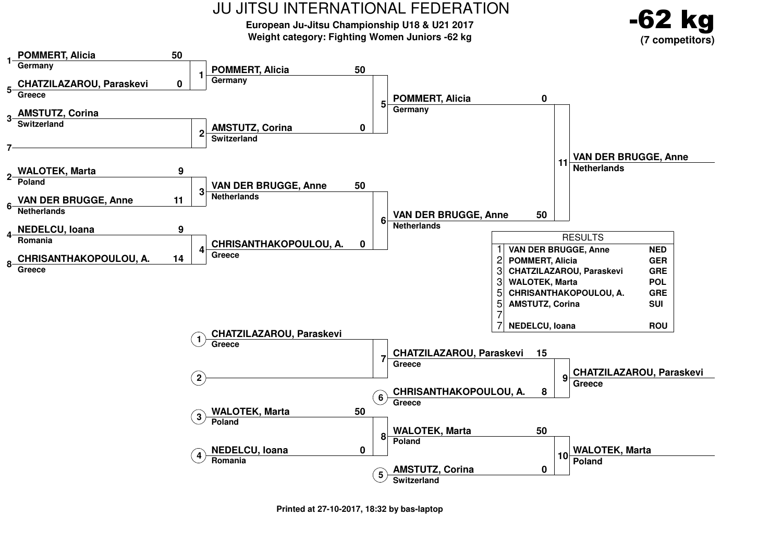![](_page_19_Figure_0.jpeg)

**European Ju-Jitsu Championship U18 & U21 2017Weight category: Fighting Women Juniors -62 kg**

![](_page_19_Picture_2.jpeg)

![](_page_19_Figure_3.jpeg)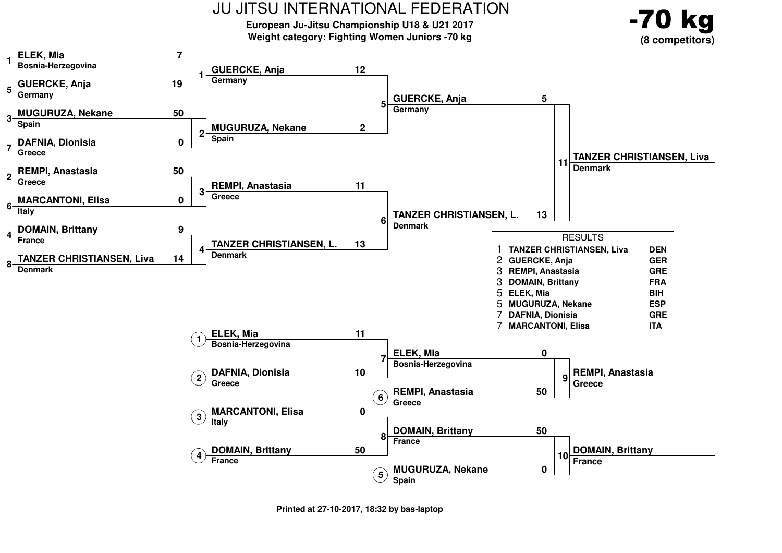![](_page_20_Figure_0.jpeg)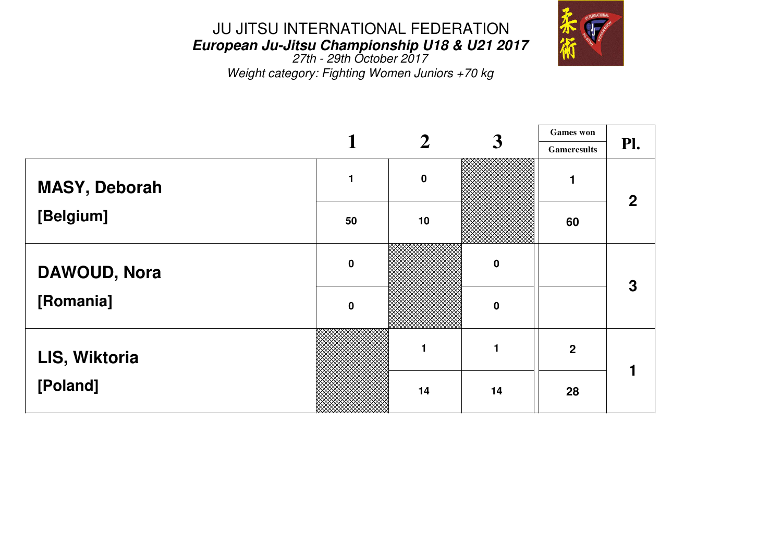![](_page_21_Picture_1.jpeg)

 $\top$ 

 **European Ju-Jitsu Championship U18 & U21 2017** 27th - 29th October 2017Weight category: Fighting Women Juniors +70 kg

|                      |             | $\overline{2}$ |                  |                    | <b>Games</b> won |  |
|----------------------|-------------|----------------|------------------|--------------------|------------------|--|
|                      |             |                | $\boldsymbol{3}$ | <b>Gameresults</b> | Pl.              |  |
| <b>MASY, Deborah</b> |             | $\mathbf 0$    |                  |                    | $\overline{2}$   |  |
| [Belgium]            | 50          | 10             |                  | 60                 |                  |  |
| <b>DAWOUD, Nora</b>  | $\mathbf 0$ |                | $\mathbf 0$      |                    | 3                |  |
| [Romania]            | $\mathbf 0$ |                | $\mathbf 0$      |                    |                  |  |
| LIS, Wiktoria        |             | 1              |                  | $\boldsymbol{2}$   |                  |  |
| [Poland]             |             | 14             | 14               | 28                 |                  |  |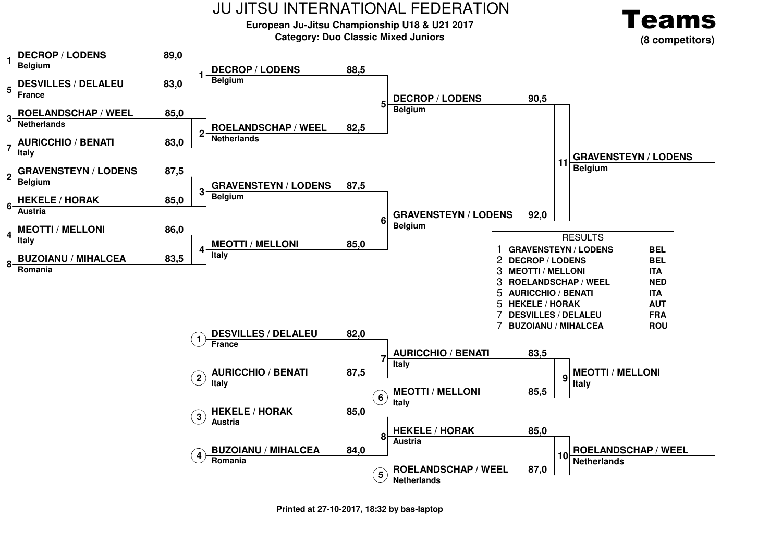#### **European Ju-Jitsu Championship U18 & U21 2017Category: Duo Classic Mixed Juniors**

![](_page_22_Picture_2.jpeg)

![](_page_22_Figure_3.jpeg)